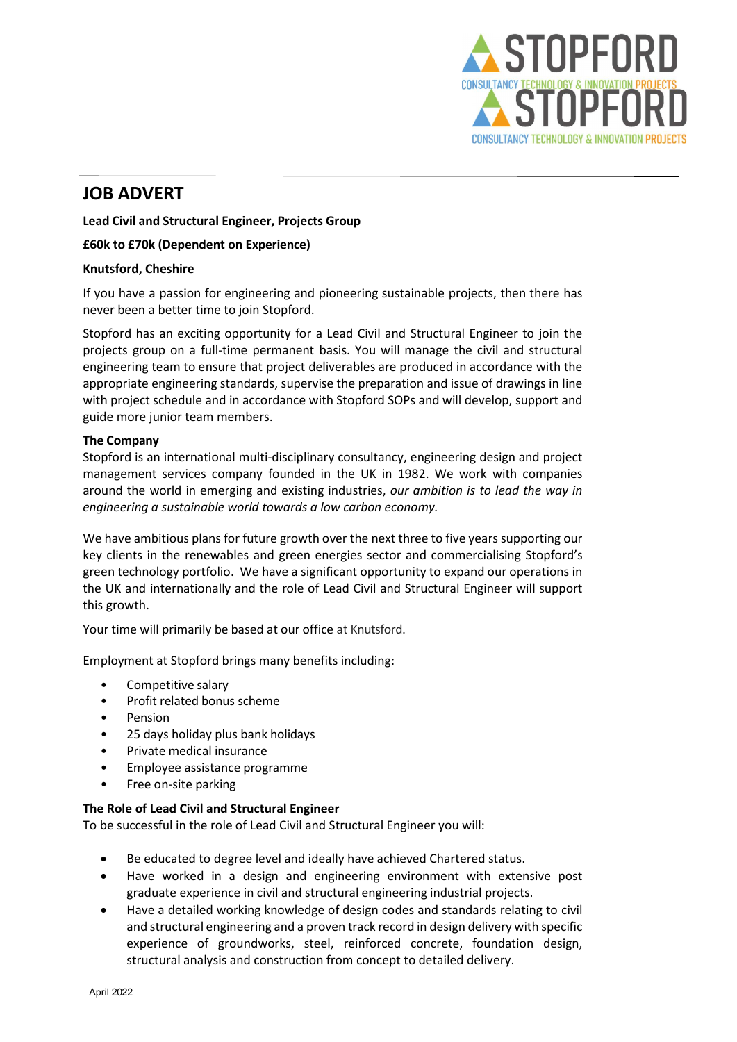

# JOB ADVERT

Lead Civil and Structural Engineer, Projects Group

## £60k to £70k (Dependent on Experience)

### Knutsford, Cheshire

If you have a passion for engineering and pioneering sustainable projects, then there has never been a better time to join Stopford.

Stopford has an exciting opportunity for a Lead Civil and Structural Engineer to join the projects group on a full-time permanent basis. You will manage the civil and structural engineering team to ensure that project deliverables are produced in accordance with the appropriate engineering standards, supervise the preparation and issue of drawings in line with project schedule and in accordance with Stopford SOPs and will develop, support and guide more junior team members.

### The Company

Stopford is an international multi-disciplinary consultancy, engineering design and project management services company founded in the UK in 1982. We work with companies around the world in emerging and existing industries, our ambition is to lead the way in engineering a sustainable world towards a low carbon economy.   

We have ambitious plans for future growth over the next three to five years supporting our key clients in the renewables and green energies sector and commercialising Stopford's green technology portfolio.  We have a significant opportunity to expand our operations in the UK and internationally and the role of Lead Civil and Structural Engineer will support this growth.  

Your time will primarily be based at our office at Knutsford.

Employment at Stopford brings many benefits including:

- Competitive salary
- Profit related bonus scheme
- Pension
- 25 days holiday plus bank holidays
- Private medical insurance
- Employee assistance programme
- Free on-site parking

### The Role of Lead Civil and Structural Engineer

To be successful in the role of Lead Civil and Structural Engineer you will:

- Be educated to degree level and ideally have achieved Chartered status.
- Have worked in a design and engineering environment with extensive post graduate experience in civil and structural engineering industrial projects.
- Have a detailed working knowledge of design codes and standards relating to civil and structural engineering and a proven track record in design delivery with specific experience of groundworks, steel, reinforced concrete, foundation design, structural analysis and construction from concept to detailed delivery.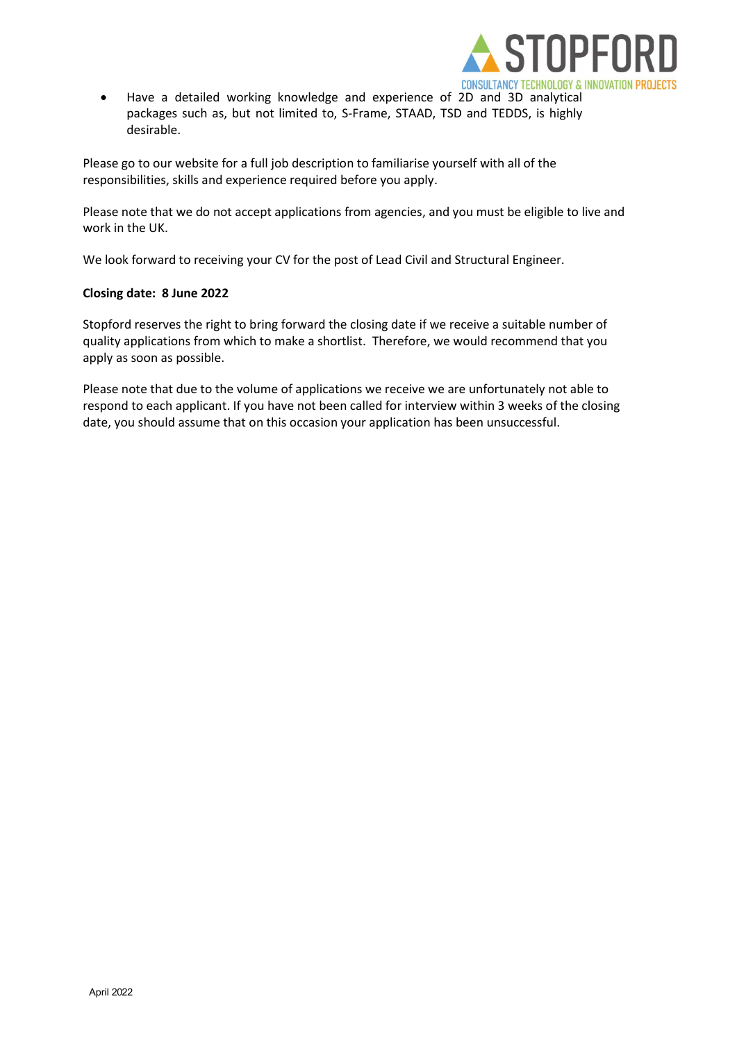

 Have a detailed working knowledge and experience of 2D and 3D analytical packages such as, but not limited to, S-Frame, STAAD, TSD and TEDDS, is highly desirable.

Please go to our website for a full job description to familiarise yourself with all of the responsibilities, skills and experience required before you apply.   

Please note that we do not accept applications from agencies, and you must be eligible to live and work in the UK.    

We look forward to receiving your CV for the post of Lead Civil and Structural Engineer.    

# Closing date:  8 June 2022

Stopford reserves the right to bring forward the closing date if we receive a suitable number of quality applications from which to make a shortlist.  Therefore, we would recommend that you apply as soon as possible.       

Please note that due to the volume of applications we receive we are unfortunately not able to respond to each applicant. If you have not been called for interview within 3 weeks of the closing date, you should assume that on this occasion your application has been unsuccessful.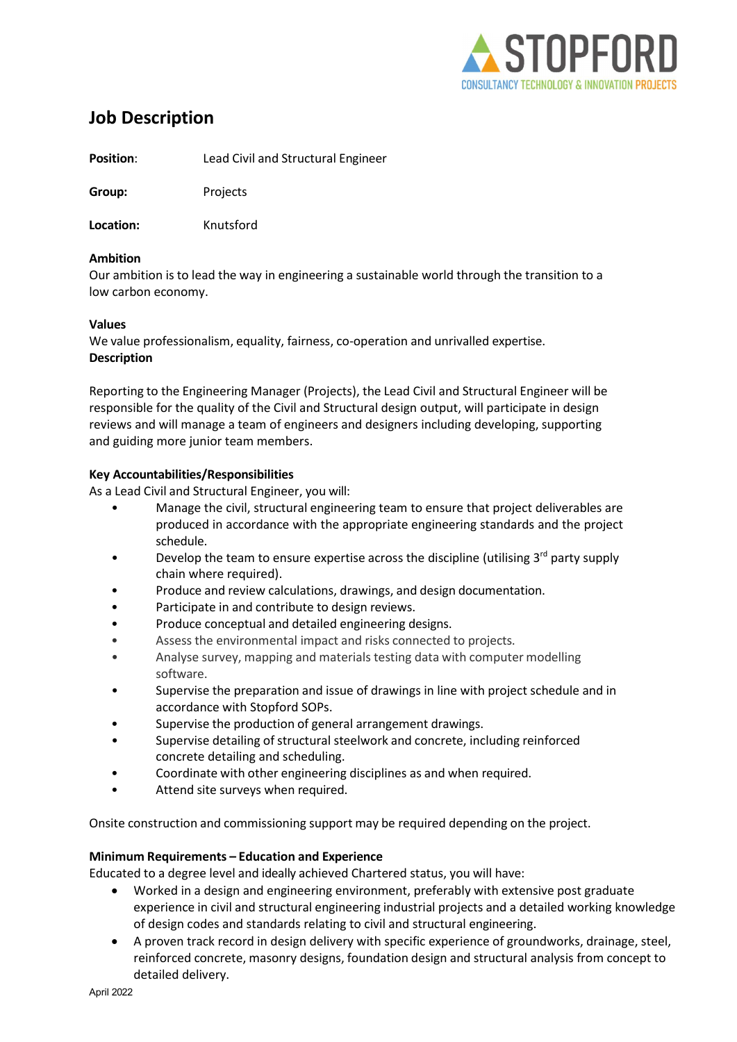

# Job Description

Position: Lead Civil and Structural Engineer

Group: Projects

Location: Knutsford

# Ambition

Our ambition is to lead the way in engineering a sustainable world through the transition to a low carbon economy.

# Values

We value professionalism, equality, fairness, co-operation and unrivalled expertise. Description

Reporting to the Engineering Manager (Projects), the Lead Civil and Structural Engineer will be responsible for the quality of the Civil and Structural design output, will participate in design reviews and will manage a team of engineers and designers including developing, supporting and guiding more junior team members.

# Key Accountabilities/Responsibilities

As a Lead Civil and Structural Engineer, you will:

- Manage the civil, structural engineering team to ensure that project deliverables are produced in accordance with the appropriate engineering standards and the project schedule.
- Develop the team to ensure expertise across the discipline (utilising  $3^{rd}$  party supply chain where required).
- Produce and review calculations, drawings, and design documentation.
- Participate in and contribute to design reviews.
- Produce conceptual and detailed engineering designs.
- Assess the environmental impact and risks connected to projects.
- Analyse survey, mapping and materials testing data with computer modelling software.
- Supervise the preparation and issue of drawings in line with project schedule and in accordance with Stopford SOPs.
- Supervise the production of general arrangement drawings.
- Supervise detailing of structural steelwork and concrete, including reinforced concrete detailing and scheduling.
- Coordinate with other engineering disciplines as and when required.
- Attend site surveys when required.

Onsite construction and commissioning support may be required depending on the project.

### Minimum Requirements – Education and Experience

Educated to a degree level and ideally achieved Chartered status, you will have:

- Worked in a design and engineering environment, preferably with extensive post graduate experience in civil and structural engineering industrial projects and a detailed working knowledge of design codes and standards relating to civil and structural engineering.
- A proven track record in design delivery with specific experience of groundworks, drainage, steel, reinforced concrete, masonry designs, foundation design and structural analysis from concept to detailed delivery.